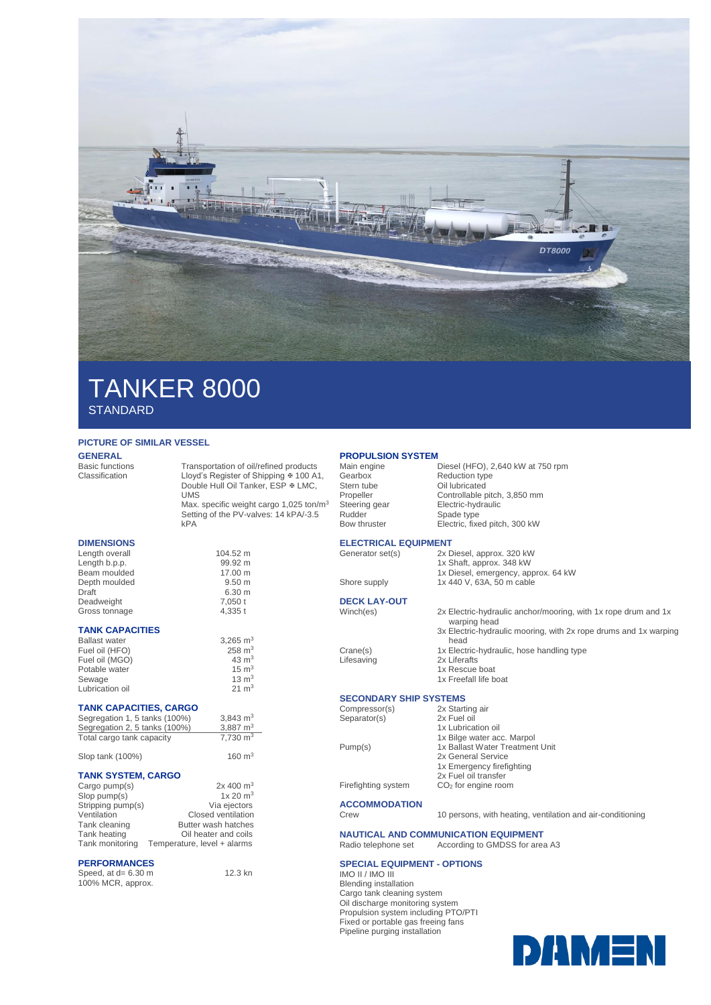

# TANKER 8000 **STANDARD**

### **PICTURE OF SIMILAR VESSEL**

**GENERAL**<br>Basic functions

Basic functions Transportation of oil/refined products<br>Classification Lloyd's Register of Shipping # 100 A Lloyd's Register of Shipping  $\overline{x}$  100 A1, Double Hull Oil Tanker, ESP & LMC, UMS Max. specific weight cargo 1,025 ton/m<sup>3</sup>

Setting of the PV-valves: 14 kPA/-3.5 kPA

 $6.30 \text{ m}$ 

160 $m<sup>3</sup>$ 

12.3 kn

### **DIMENSIONS**

Length overall 104.52 m<br>
Length b.p.p. 99.92 m Length b.p.p.<br>Beam moulded example beam moulded by 17.00 m Beam moulded 17.00 m<br>Depth moulded 9.50 m Depth moulded<br>Draft Deadweight 7,050 t<br>Gross tonnage 4 335 t Gross tonnage

#### **TANK CAPACITIES**

| 3.265 $m3$        |
|-------------------|
| $258 \text{ m}^3$ |
| $43 \text{ m}^3$  |
| $15 \text{ m}^3$  |
| $13 \text{ m}^3$  |
| $21 \text{ m}^3$  |
|                   |

### **TANK CAPACITIES, CARGO**

| Segregation 1, 5 tanks (100%) | 3.843 $m3$          |
|-------------------------------|---------------------|
| Segregation 2, 5 tanks (100%) | 3.887 $m3$          |
| Total cargo tank capacity     | $7.730 \text{ m}^3$ |

| Slop tank (100%) |  |  |
|------------------|--|--|
|------------------|--|--|

### **TANK SYSTEM, CARGO**

| Cargo pump(s)     | $2x\ 400\ m^3$              |
|-------------------|-----------------------------|
| $Slop$ pump $(s)$ | 1x 20 m <sup>3</sup>        |
| Stripping pump(s) | Via ejectors                |
| Ventilation       | Closed ventilation          |
| Tank cleaning     | Butter wash hatches         |
| Tank heating      | Oil heater and coils        |
| Tank monitoring   | Temperature, level + alarms |

#### **PERFORMANCES**

Speed, at d= 6.30 m 100% MCR, approx.

# **PROPULSION SYSTEM**<br>Main engine

Main engine<br>
Main engine<br>
Cearbox Reduction type<br>
Reduction type Gearbox Reduction type Stern tube Oil lubricated<br>Propeller Controllable p Propeller Controllable pitch, 3,850 mm<br>Steering gear Electric-hydraulic Steering gear **Electric-hydraulic**<br>
Rudder Spade type Spade type Bow thruster Electric, fixed pitch, 300 kW

> 1x Shaft, approx. 348 kW 1x Diesel, emergency, approx. 64 kW

#### **ELECTRICAL EQUIPMENT**  Generator set(s) 2x Diesel, approx. 320 kW

Shore supply 1x 440 V, 63A, 50 m cable

## **DECK LAY-OUT**

- Winch(es) 2x Electric-hydraulic anchor/mooring, with 1x rope drum and 1x warping head 3x Electric-hydraulic mooring, with 2x rope drums and 1x warping head Crane(s) 1x Electric-hydraulic, hose handling type<br>
Lifesaving 2x Liferafts
	- 2x Liferafts
	- 1x Rescue boat
	- 1x Freefall life boat

### **SECONDARY SHIP SYSTEMS**

Compressor(s) 2x Starting air Separator(s) 2x Fuel oil

- 1x Bilge water acc. Marpol Pump(s) 1x Ballast Water Treatment Unit
	- 2x General Service

1x Lubrication oil

- 1x Emergency firefighting 2x Fuel oil transfer
- Firefighting system CO<sub>2</sub> for engine room
	-

**ACCOMMODATION**

Crew 10 persons, with heating, ventilation and air-conditioning

**NAUTICAL AND COMMUNICATION EQUIPMENT**<br>Radio telephone set According to GMDSS for area Recording to GMDSS for area A3

### **SPECIAL EQUIPMENT - OPTIONS**

IMO II / IMO III Blending installation Cargo tank cleaning system Oil discharge monitoring system Propulsion system including PTO/PTI Fixed or portable gas freeing fans Pipeline purging installation